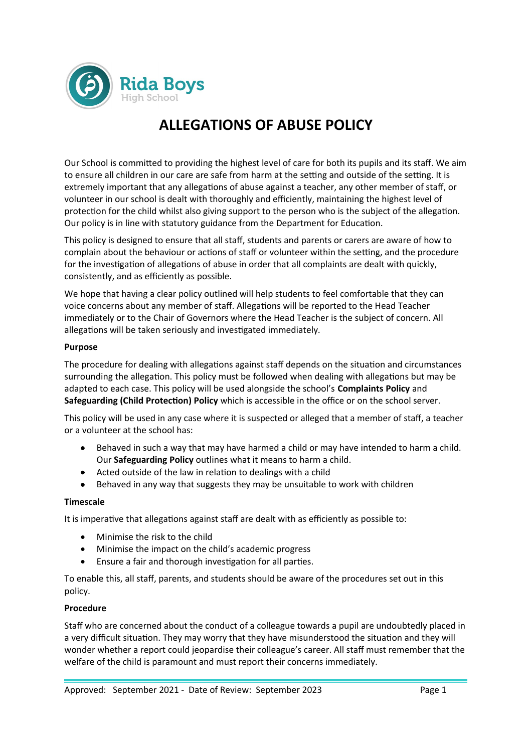

# **ALLEGATIONS OF ABUSE POLICY**

Our School is committed to providing the highest level of care for both its pupils and its staff. We aim to ensure all children in our care are safe from harm at the setting and outside of the setting. It is extremely important that any allegations of abuse against a teacher, any other member of staff, or volunteer in our school is dealt with thoroughly and efficiently, maintaining the highest level of protection for the child whilst also giving support to the person who is the subject of the allegation. Our policy is in line with statutory guidance from the Department for Education.

This policy is designed to ensure that all staff, students and parents or carers are aware of how to complain about the behaviour or actions of staff or volunteer within the setting, and the procedure for the investigation of allegations of abuse in order that all complaints are dealt with quickly, consistently, and as efficiently as possible.

We hope that having a clear policy outlined will help students to feel comfortable that they can voice concerns about any member of staff. Allegations will be reported to the Head Teacher immediately or to the Chair of Governors where the Head Teacher is the subject of concern. All allegations will be taken seriously and investigated immediately.

### **Purpose**

The procedure for dealing with allegations against staff depends on the situation and circumstances surrounding the allegation. This policy must be followed when dealing with allegations but may be adapted to each case. This policy will be used alongside the school's **Complaints Policy** and **Safeguarding (Child Protection) Policy** which is accessible in the office or on the school server.

This policy will be used in any case where it is suspected or alleged that a member of staff, a teacher or a volunteer at the school has:

- Behaved in such a way that may have harmed a child or may have intended to harm a child. Our **Safeguarding Policy** outlines what it means to harm a child.
- Acted outside of the law in relation to dealings with a child
- Behaved in any way that suggests they may be unsuitable to work with children

### **Timescale**

It is imperative that allegations against staff are dealt with as efficiently as possible to:

- Minimise the risk to the child
- Minimise the impact on the child's academic progress
- Ensure a fair and thorough investigation for all parties.

To enable this, all staff, parents, and students should be aware of the procedures set out in this policy.

### **Procedure**

Staff who are concerned about the conduct of a colleague towards a pupil are undoubtedly placed in a very difficult situation. They may worry that they have misunderstood the situation and they will wonder whether a report could jeopardise their colleague's career. All staff must remember that the welfare of the child is paramount and must report their concerns immediately.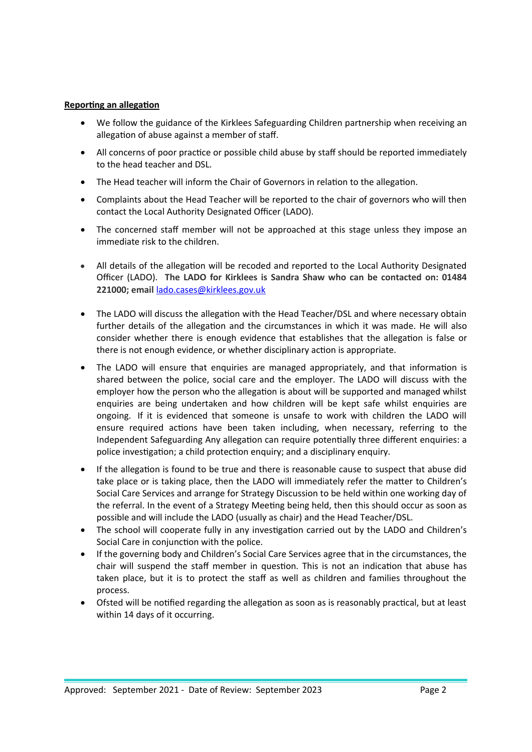## **Reporting an allegation**

- We follow the guidance of the Kirklees Safeguarding Children partnership when receiving an allegation of abuse against a member of staff.
- All concerns of poor practice or possible child abuse by staff should be reported immediately to the head teacher and DSL.
- The Head teacher will inform the Chair of Governors in relation to the allegation.
- Complaints about the Head Teacher will be reported to the chair of governors who will then contact the Local Authority Designated Officer (LADO).
- The concerned staff member will not be approached at this stage unless they impose an immediate risk to the children.
- All details of the allegation will be recoded and reported to the Local Authority Designated Officer (LADO). **The LADO for Kirklees is Sandra Shaw who can be contacted on: 01484 221000; email** [lado.cases@kirklees.gov.uk](mailto:lado.cases@kirklees.gov.uk)
- The LADO will discuss the allegation with the Head Teacher/DSL and where necessary obtain further details of the allegation and the circumstances in which it was made. He will also consider whether there is enough evidence that establishes that the allegation is false or there is not enough evidence, or whether disciplinary action is appropriate.
- The LADO will ensure that enquiries are managed appropriately, and that information is shared between the police, social care and the employer. The LADO will discuss with the employer how the person who the allegation is about will be supported and managed whilst enquiries are being undertaken and how children will be kept safe whilst enquiries are ongoing. If it is evidenced that someone is unsafe to work with children the LADO will ensure required actions have been taken including, when necessary, referring to the Independent Safeguarding Any allegation can require potentially three different enquiries: a police investigation; a child protection enquiry; and a disciplinary enquiry.
- If the allegation is found to be true and there is reasonable cause to suspect that abuse did take place or is taking place, then the LADO will immediately refer the matter to Children's Social Care Services and arrange for Strategy Discussion to be held within one working day of the referral. In the event of a Strategy Meeting being held, then this should occur as soon as possible and will include the LADO (usually as chair) and the Head Teacher/DSL.
- The school will cooperate fully in any investigation carried out by the LADO and Children's Social Care in conjunction with the police.
- If the governing body and Children's Social Care Services agree that in the circumstances, the chair will suspend the staff member in question. This is not an indication that abuse has taken place, but it is to protect the staff as well as children and families throughout the process.
- Ofsted will be notified regarding the allegation as soon as is reasonably practical, but at least within 14 days of it occurring.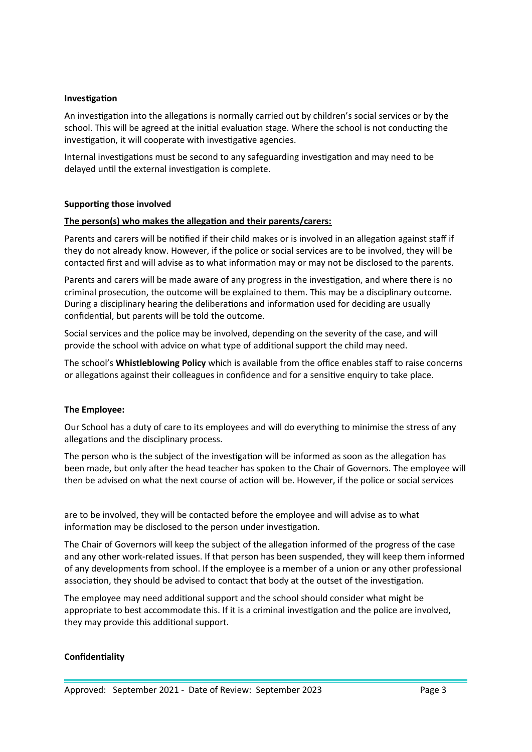#### **Investigation**

An investigation into the allegations is normally carried out by children's social services or by the school. This will be agreed at the initial evaluation stage. Where the school is not conducting the investigation, it will cooperate with investigative agencies.

Internal investigations must be second to any safeguarding investigation and may need to be delayed until the external investigation is complete.

#### **Supporting those involved**

#### **The person(s) who makes the allegation and their parents/carers:**

Parents and carers will be notified if their child makes or is involved in an allegation against staff if they do not already know. However, if the police or social services are to be involved, they will be contacted first and will advise as to what information may or may not be disclosed to the parents.

Parents and carers will be made aware of any progress in the investigation, and where there is no criminal prosecution, the outcome will be explained to them. This may be a disciplinary outcome. During a disciplinary hearing the deliberations and information used for deciding are usually confidential, but parents will be told the outcome.

Social services and the police may be involved, depending on the severity of the case, and will provide the school with advice on what type of additional support the child may need.

The school's **Whistleblowing Policy** which is available from the office enables staff to raise concerns or allegations against their colleagues in confidence and for a sensitive enquiry to take place.

### **The Employee:**

Our School has a duty of care to its employees and will do everything to minimise the stress of any allegations and the disciplinary process.

The person who is the subject of the investigation will be informed as soon as the allegation has been made, but only after the head teacher has spoken to the Chair of Governors. The employee will then be advised on what the next course of action will be. However, if the police or social services

are to be involved, they will be contacted before the employee and will advise as to what information may be disclosed to the person under investigation.

The Chair of Governors will keep the subject of the allegation informed of the progress of the case and any other work-related issues. If that person has been suspended, they will keep them informed of any developments from school. If the employee is a member of a union or any other professional association, they should be advised to contact that body at the outset of the investigation.

The employee may need additional support and the school should consider what might be appropriate to best accommodate this. If it is a criminal investigation and the police are involved, they may provide this additional support.

#### **Confidentiality**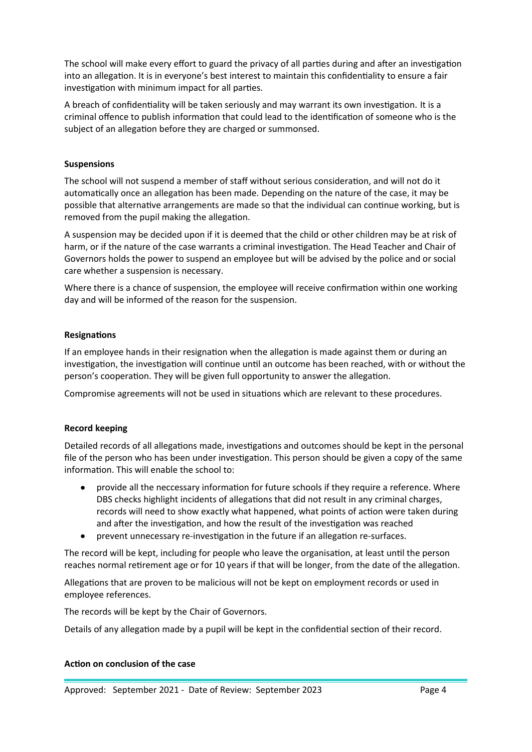The school will make every effort to guard the privacy of all parties during and after an investigation into an allegation. It is in everyone's best interest to maintain this confidentiality to ensure a fair investigation with minimum impact for all parties.

A breach of confidentiality will be taken seriously and may warrant its own investigation. It is a criminal offence to publish information that could lead to the identification of someone who is the subject of an allegation before they are charged or summonsed.

# **Suspensions**

The school will not suspend a member of staff without serious consideration, and will not do it automatically once an allegation has been made. Depending on the nature of the case, it may be possible that alternative arrangements are made so that the individual can continue working, but is removed from the pupil making the allegation.

A suspension may be decided upon if it is deemed that the child or other children may be at risk of harm, or if the nature of the case warrants a criminal investigation. The Head Teacher and Chair of Governors holds the power to suspend an employee but will be advised by the police and or social care whether a suspension is necessary.

Where there is a chance of suspension, the employee will receive confirmation within one working day and will be informed of the reason for the suspension.

# **Resignations**

If an employee hands in their resignation when the allegation is made against them or during an investigation, the investigation will continue until an outcome has been reached, with or without the person's cooperation. They will be given full opportunity to answer the allegation.

Compromise agreements will not be used in situations which are relevant to these procedures.

### **Record keeping**

Detailed records of all allegations made, investigations and outcomes should be kept in the personal file of the person who has been under investigation. This person should be given a copy of the same information. This will enable the school to:

- provide all the neccessary information for future schools if they require a reference. Where DBS checks highlight incidents of allegations that did not result in any criminal charges, records will need to show exactly what happened, what points of action were taken during and after the investigation, and how the result of the investigation was reached
- prevent unnecessary re-investigation in the future if an allegation re-surfaces.

The record will be kept, including for people who leave the organisation, at least until the person reaches normal retirement age or for 10 years if that will be longer, from the date of the allegation.

Allegations that are proven to be malicious will not be kept on employment records or used in employee references.

The records will be kept by the Chair of Governors.

Details of any allegation made by a pupil will be kept in the confidential section of their record.

### **Action on conclusion of the case**